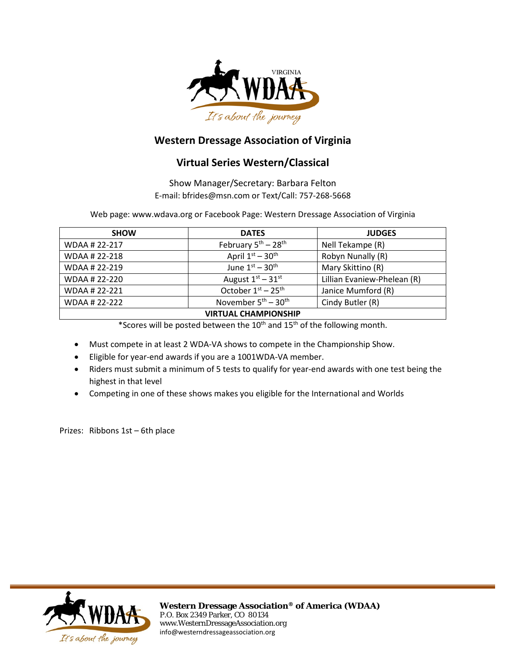

### **Western Dressage Association of Virginia**

### **Virtual Series Western/Classical**

Show Manager/Secretary: Barbara Felton E-mail: bfrides@msn.com or Text/Call: 757-268-5668

Web page: www.wdava.org or Facebook Page: Western Dressage Association of Virginia

| <b>SHOW</b>                 | <b>DATES</b>                              | <b>JUDGES</b>               |
|-----------------------------|-------------------------------------------|-----------------------------|
| WDAA # 22-217               | February $5^{\text{th}} - 28^{\text{th}}$ | Nell Tekampe (R)            |
| WDAA # 22-218               | April $1st - 30th$                        | Robyn Nunally (R)           |
| WDAA # 22-219               | June $1st - 30th$                         | Mary Skittino (R)           |
| WDAA # 22-220               | August $1st - 31st$                       | Lillian Evaniew-Phelean (R) |
| WDAA # 22-221               | October 1st - 25th                        | Janice Mumford (R)          |
| WDAA # 22-222               | November $5^{\text{th}} - 30^{\text{th}}$ | Cindy Butler (R)            |
| <b>VIRTUAL CHAMPIONSHIP</b> |                                           |                             |

\*Scores will be posted between the 10<sup>th</sup> and 15<sup>th</sup> of the following month.

- Must compete in at least 2 WDA-VA shows to compete in the Championship Show.
- Eligible for year-end awards if you are a 1001WDA-VA member.
- Riders must submit a minimum of 5 tests to qualify for year-end awards with one test being the highest in that level
- Competing in one of these shows makes you eligible for the International and Worlds

Prizes: Ribbons 1st – 6th place

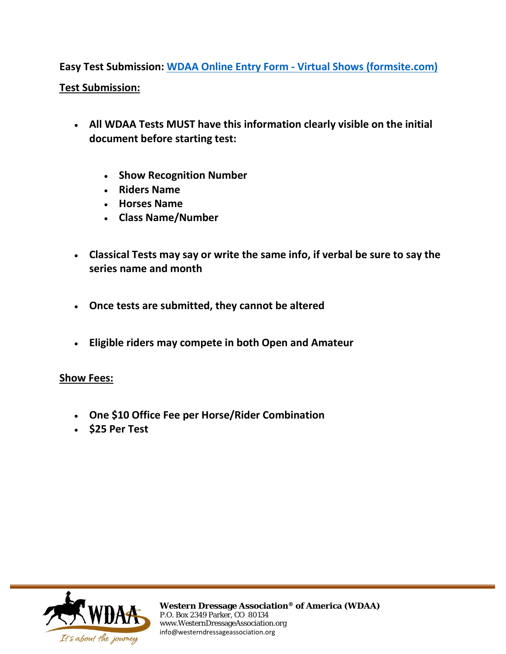**Easy Test Submission: WDAA Online Entry Form - [Virtual Shows \(formsite.com\)](https://fs27.formsite.com/vablonde25aolcom/fxm2ff0z03/index.html)**

### **Test Submission:**

- **All WDAA Tests MUST have this information clearly visible on the initial document before starting test:**
	- **Show Recognition Number**
	- **Riders Name**
	- **Horses Name**
	- **Class Name/Number**
- **Classical Tests may say or write the same info, if verbal be sure to say the series name and month**
- **Once tests are submitted, they cannot be altered**
- **Eligible riders may compete in both Open and Amateur**

#### **Show Fees:**

- **One \$10 Office Fee per Horse/Rider Combination**
- **\$25 Per Test**

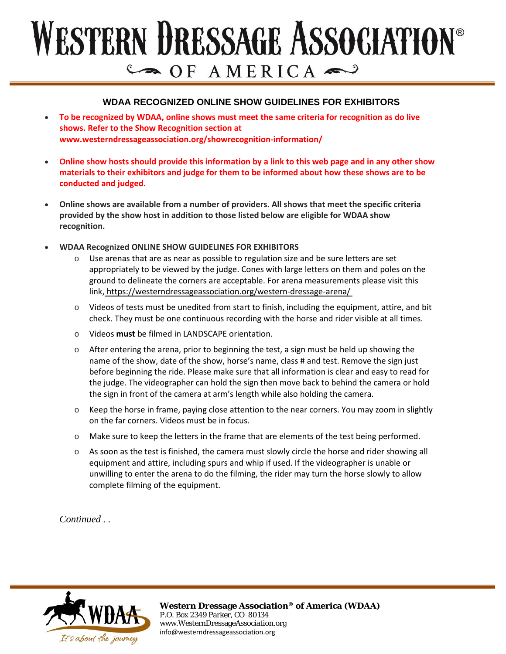# WESTERN DRESSAGE ASSOCIATION®  $C \rightarrow O$  F AMERICA

#### **WDAA RECOGNIZED ONLINE SHOW GUIDELINES FOR EXHIBITORS**

- **To be recognized by WDAA, online shows must meet the same criteria for recognition as do live shows. Refer to the Show Recognition section at www.westerndressageassociation.org/showrecognition-information/**
- **Online show hosts should provide this information by a link to this web page and in any other show materials to their exhibitors and judge for them to be informed about how these shows are to be conducted and judged.**
- **Online shows are available from a number of providers. All shows that meet the specific criteria provided by the show host in addition to those listed below are eligible for WDAA show recognition.**
- **WDAA Recognized ONLINE SHOW GUIDELINES FOR EXHIBITORS**
	- Use arenas that are as near as possible to regulation size and be sure letters are set appropriately to be viewed by the judge. Cones with large letters on them and poles on the ground to delineate the corners are acceptable. For arena measurements please visit this link, <https://westerndressageassociation.org/western-dressage-arena/>
	- $\circ$  Videos of tests must be unedited from start to finish, including the equipment, attire, and bit check. They must be one continuous recording with the horse and rider visible at all times.
	- o Videos **must** be filmed in LANDSCAPE orientation.
	- $\circ$  After entering the arena, prior to beginning the test, a sign must be held up showing the name of the show, date of the show, horse's name, class # and test. Remove the sign just before beginning the ride. Please make sure that all information is clear and easy to read for the judge. The videographer can hold the sign then move back to behind the camera or hold the sign in front of the camera at arm's length while also holding the camera.
	- $\circ$  Keep the horse in frame, paying close attention to the near corners. You may zoom in slightly on the far corners. Videos must be in focus.
	- o Make sure to keep the letters in the frame that are elements of the test being performed.
	- $\circ$  As soon as the test is finished, the camera must slowly circle the horse and rider showing all equipment and attire, including spurs and whip if used. If the videographer is unable or unwilling to enter the arena to do the filming, the rider may turn the horse slowly to allow complete filming of the equipment.

*Continued . .* 

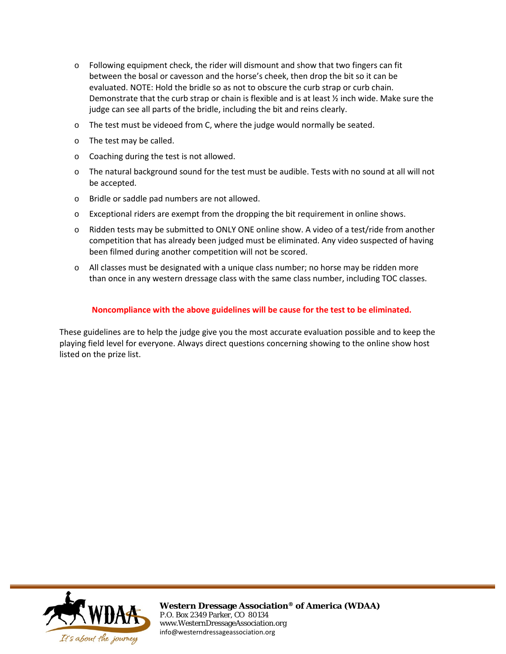- $\circ$  Following equipment check, the rider will dismount and show that two fingers can fit between the bosal or cavesson and the horse's cheek, then drop the bit so it can be evaluated. NOTE: Hold the bridle so as not to obscure the curb strap or curb chain. Demonstrate that the curb strap or chain is flexible and is at least  $\frac{1}{2}$  inch wide. Make sure the judge can see all parts of the bridle, including the bit and reins clearly.
- o The test must be videoed from C, where the judge would normally be seated.
- o The test may be called.
- o Coaching during the test is not allowed.
- o The natural background sound for the test must be audible. Tests with no sound at all will not be accepted.
- o Bridle or saddle pad numbers are not allowed.
- o Exceptional riders are exempt from the dropping the bit requirement in online shows.
- o Ridden tests may be submitted to ONLY ONE online show. A video of a test/ride from another competition that has already been judged must be eliminated. Any video suspected of having been filmed during another competition will not be scored.
- o All classes must be designated with a unique class number; no horse may be ridden more than once in any western dressage class with the same class number, including TOC classes.

#### **Noncompliance with the above guidelines will be cause for the test to be eliminated.**

These guidelines are to help the judge give you the most accurate evaluation possible and to keep the playing field level for everyone. Always direct questions concerning showing to the online show host listed on the prize list.

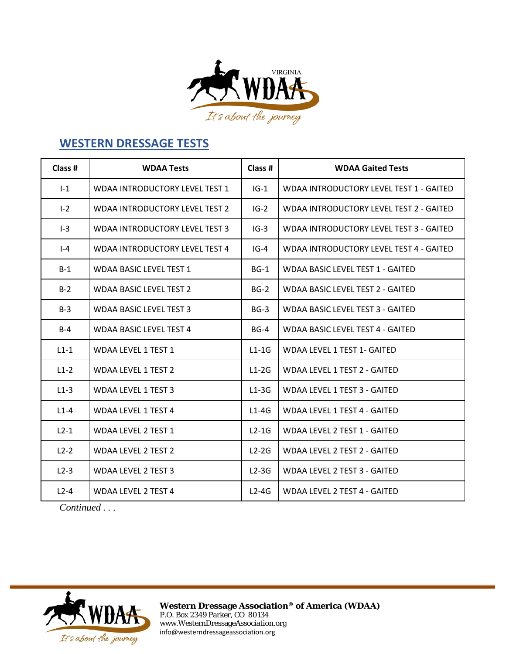

# **WESTERN DRESSAGE TESTS**

| Class # | <b>WDAA Tests</b>                     | Class # | <b>WDAA Gaited Tests</b>                |
|---------|---------------------------------------|---------|-----------------------------------------|
| $I-1$   | WDAA INTRODUCTORY LEVEL TEST 1        | $IG-1$  | WDAA INTRODUCTORY LEVEL TEST 1 - GAITED |
| $I-2$   | <b>WDAA INTRODUCTORY LEVEL TEST 2</b> | $IG-2$  | WDAA INTRODUCTORY LEVEL TEST 2 - GAITED |
| $I-3$   | <b>WDAA INTRODUCTORY LEVEL TEST 3</b> | $IG-3$  | WDAA INTRODUCTORY LEVEL TEST 3 - GAITED |
| $I - 4$ | <b>WDAA INTRODUCTORY LEVEL TEST 4</b> | $IG-4$  | WDAA INTRODUCTORY LEVEL TEST 4 - GAITED |
| $B-1$   | <b>WDAA BASIC LEVEL TEST 1</b>        | $BG-1$  | WDAA BASIC LEVEL TEST 1 - GAITED        |
| $B-2$   | <b>WDAA BASIC LEVEL TEST 2</b>        | $BG-2$  | <b>WDAA BASIC LEVEL TEST 2 - GAITED</b> |
| $B-3$   | <b>WDAA BASIC LEVEL TEST 3</b>        | $BG-3$  | <b>WDAA BASIC LEVEL TEST 3 - GAITED</b> |
| $B-4$   | <b>WDAA BASIC LEVEL TEST 4</b>        | $BG-4$  | <b>WDAA BASIC LEVEL TEST 4 - GAITED</b> |
| $L1-1$  | <b>WDAA LEVEL 1 TEST 1</b>            | $L1-1G$ | <b>WDAA LEVEL 1 TEST 1- GAITED</b>      |
| $L1-2$  | <b>WDAA LEVEL 1 TEST 2</b>            | $L1-2G$ | <b>WDAA LEVEL 1 TEST 2 - GAITED</b>     |
| $L1-3$  | <b>WDAA LEVEL 1 TEST 3</b>            | $L1-3G$ | WDAA LEVEL 1 TEST 3 - GAITED            |
| $L1-4$  | <b>WDAA LEVEL 1 TEST 4</b>            | $L1-4G$ | WDAA LEVEL 1 TEST 4 - GAITED            |
| $L2-1$  | <b>WDAA LEVEL 2 TEST 1</b>            | $L2-1G$ | WDAA LEVEL 2 TEST 1 - GAITED            |
| $L2-2$  | <b>WDAA LEVEL 2 TEST 2</b>            | $L2-2G$ | <b>WDAA LEVEL 2 TEST 2 - GAITED</b>     |
| $L2-3$  | <b>WDAA LEVEL 2 TEST 3</b>            | $L2-3G$ | WDAA LEVEL 2 TEST 3 - GAITED            |
| $L2-4$  | <b>WDAA LEVEL 2 TEST 4</b>            | $L2-4G$ | <b>WDAA LEVEL 2 TEST 4 - GAITED</b>     |

*Continued . . .*

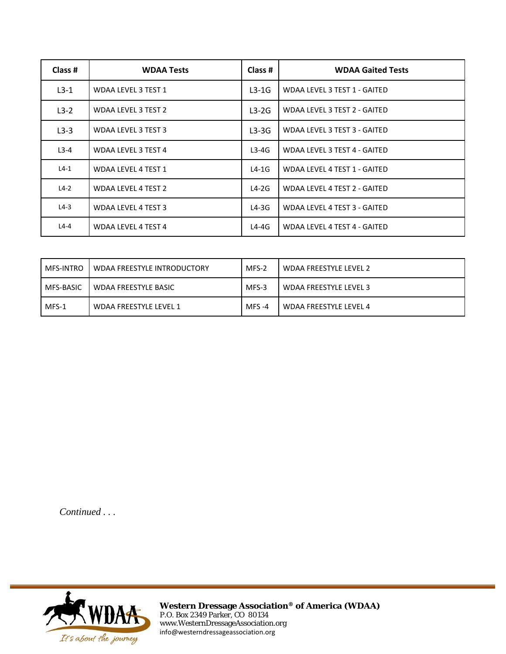| Class # | <b>WDAA Tests</b>          | Class # | <b>WDAA Gaited Tests</b>     |
|---------|----------------------------|---------|------------------------------|
| $L3-1$  | WDAA LEVEL 3 TEST 1        | $L3-1G$ | WDAA LEVEL 3 TEST 1 - GAITED |
| $L3-2$  | WDAA LEVEL 3 TEST 2        | $L3-2G$ | WDAA LEVEL 3 TEST 2 - GAITED |
| $L3-3$  | WDAA LEVEL 3 TEST 3        | $L3-3G$ | WDAA LEVEL 3 TEST 3 - GAITED |
| $L3-4$  | WDAA LEVEL 3 TEST 4        | $L3-4G$ | WDAA LEVEL 3 TEST 4 - GAITED |
| $L4-1$  | <b>WDAA LEVEL 4 TEST 1</b> | $L4-1G$ | WDAA LEVEL 4 TEST 1 - GAITED |
| $L4-2$  | WDAA LEVEL 4 TEST 2        | $L4-2G$ | WDAA LEVEL 4 TEST 2 - GAITED |
| $L4-3$  | <b>WDAA LEVEL 4 TEST 3</b> | $L4-3G$ | WDAA LEVEL 4 TEST 3 - GAITED |
| $L4-4$  | WDAA LEVEL 4 TEST 4        | $L4-4G$ | WDAA LEVEL 4 TEST 4 - GAITED |

| MFS-INTRO | WDAA FREESTYLE INTRODUCTORY | MFS-2    | WDAA FREESTYLE LEVEL 2 |
|-----------|-----------------------------|----------|------------------------|
| MFS-BASIC | WDAA FREESTYLE BASIC        | MFS-3    | WDAA FREESTYLE LEVEL 3 |
| $MFS-1$   | WDAA FREESTYLE LEVEL 1      | $MFS -4$ | WDAA FREESTYLE LEVEL 4 |

*Continued . . .*

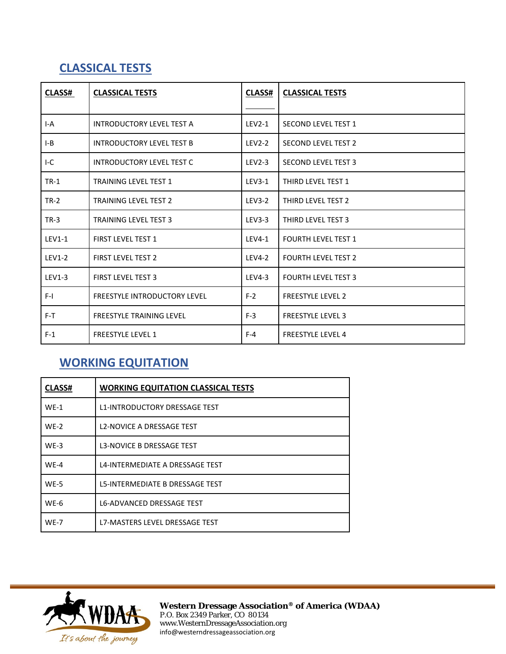# **CLASSICAL TESTS**

| <b>CLASS#</b> | <b>CLASSICAL TESTS</b>              | CLASS#        | <b>CLASSICAL TESTS</b>     |
|---------------|-------------------------------------|---------------|----------------------------|
|               |                                     |               |                            |
| $I-A$         | <b>INTRODUCTORY LEVEL TEST A</b>    | $LEV2-1$      | <b>SECOND LEVEL TEST 1</b> |
| $I-B$         | <b>INTRODUCTORY LEVEL TEST B</b>    | <b>LEV2-2</b> | <b>SECOND LEVEL TEST 2</b> |
| $I-C$         | <b>INTRODUCTORY LEVEL TEST C</b>    | $LEV2-3$      | <b>SECOND LEVEL TEST 3</b> |
| $TR-1$        | <b>TRAINING LEVEL TEST 1</b>        | $LEV3-1$      | THIRD LEVEL TEST 1         |
| $TR-2$        | <b>TRAINING LEVEL TEST 2</b>        | <b>LEV3-2</b> | THIRD LEVEL TEST 2         |
| $TR-3$        | <b>TRAINING LEVEL TEST 3</b>        | $LEV3-3$      | THIRD LEVEL TEST 3         |
| <b>LEV1-1</b> | <b>FIRST LEVEL TEST 1</b>           | <b>LEV4-1</b> | <b>FOURTH LEVEL TEST 1</b> |
| $LEV1-2$      | <b>FIRST LEVEL TEST 2</b>           | <b>LEV4-2</b> | <b>FOURTH LEVEL TEST 2</b> |
| $LEV1-3$      | <b>FIRST LEVEL TEST 3</b>           | LEV4-3        | <b>FOURTH LEVEL TEST 3</b> |
| $F-I$         | <b>FREESTYLE INTRODUCTORY LEVEL</b> | $F-2$         | <b>FREESTYLE LEVEL 2</b>   |
| $F-T$         | <b>FREESTYLE TRAINING LEVEL</b>     | $F-3$         | <b>FREESTYLE LEVEL 3</b>   |
| $F-1$         | <b>FREESTYLE LEVEL 1</b>            | $F-4$         | <b>FREESTYLE LEVEL 4</b>   |

# **WORKING EQUITATION**

| <b>CLASS#</b> | <b>WORKING EQUITATION CLASSICAL TESTS</b> |
|---------------|-------------------------------------------|
| $WE-1$        | <b>L1-INTRODUCTORY DRESSAGE TEST</b>      |
| $WE-2$        | <b>L2-NOVICE A DRESSAGE TEST</b>          |
| $WE-3$        | <b>L3-NOVICE B DRESSAGE TEST</b>          |
| $WE-4$        | L4-INTERMEDIATE A DRESSAGE TEST           |
| $WE-5$        | L5-INTERMEDIATE B DRESSAGE TEST           |
| $WE-6$        | <b>L6-ADVANCED DRESSAGE TEST</b>          |
| $WE-7$        | L7-MASTERS LEVEL DRESSAGE TEST            |

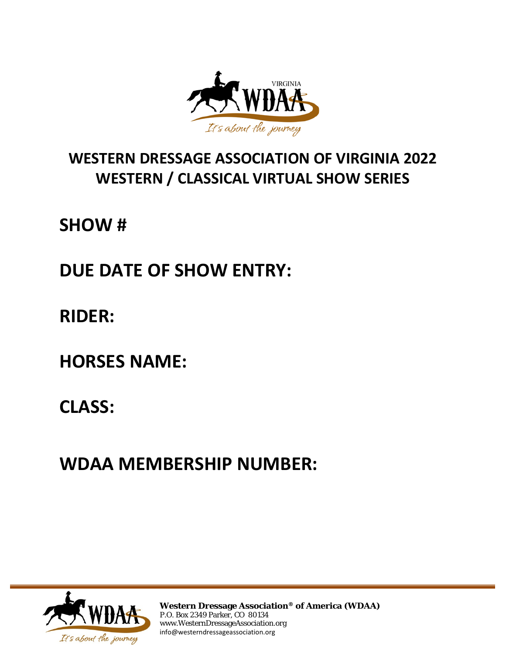

# **WESTERN DRESSAGE ASSOCIATION OF VIRGINIA 2022 WESTERN / CLASSICAL VIRTUAL SHOW SERIES**

**SHOW #**

**DUE DATE OF SHOW ENTRY:**

**RIDER:**

**HORSES NAME:**

**CLASS:**

**WDAA MEMBERSHIP NUMBER:**

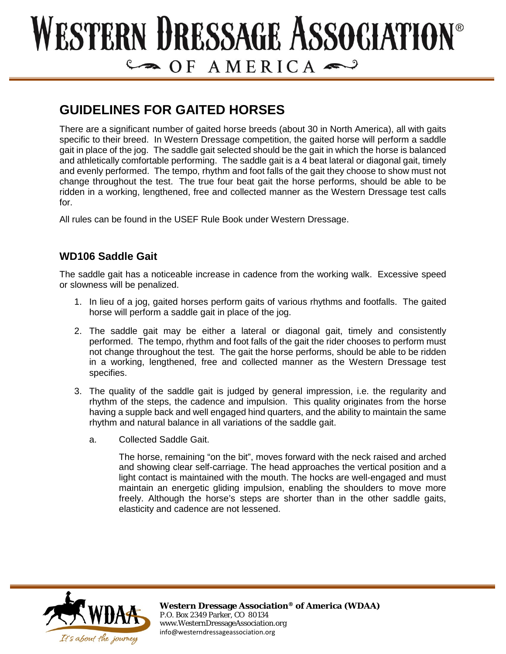# WESTERN DRESSAGE ASSOCIATION®  $CP AMERICA$

# **GUIDELINES FOR GAITED HORSES**

There are a significant number of gaited horse breeds (about 30 in North America), all with gaits specific to their breed. In Western Dressage competition, the gaited horse will perform a saddle gait in place of the jog. The saddle gait selected should be the gait in which the horse is balanced and athletically comfortable performing. The saddle gait is a 4 beat lateral or diagonal gait, timely and evenly performed. The tempo, rhythm and foot falls of the gait they choose to show must not change throughout the test. The true four beat gait the horse performs, should be able to be ridden in a working, lengthened, free and collected manner as the Western Dressage test calls for.

All rules can be found in the USEF Rule Book under Western Dressage.

#### **WD106 Saddle Gait**

The saddle gait has a noticeable increase in cadence from the working walk. Excessive speed or slowness will be penalized.

- 1. In lieu of a jog, gaited horses perform gaits of various rhythms and footfalls. The gaited horse will perform a saddle gait in place of the jog.
- 2. The saddle gait may be either a lateral or diagonal gait, timely and consistently performed. The tempo, rhythm and foot falls of the gait the rider chooses to perform must not change throughout the test. The gait the horse performs, should be able to be ridden in a working, lengthened, free and collected manner as the Western Dressage test specifies.
- 3. The quality of the saddle gait is judged by general impression, i.e. the regularity and rhythm of the steps, the cadence and impulsion. This quality originates from the horse having a supple back and well engaged hind quarters, and the ability to maintain the same rhythm and natural balance in all variations of the saddle gait.
	- a. Collected Saddle Gait.

The horse, remaining "on the bit", moves forward with the neck raised and arched and showing clear self-carriage. The head approaches the vertical position and a light contact is maintained with the mouth. The hocks are well-engaged and must maintain an energetic gliding impulsion, enabling the shoulders to move more freely. Although the horse's steps are shorter than in the other saddle gaits, elasticity and cadence are not lessened.

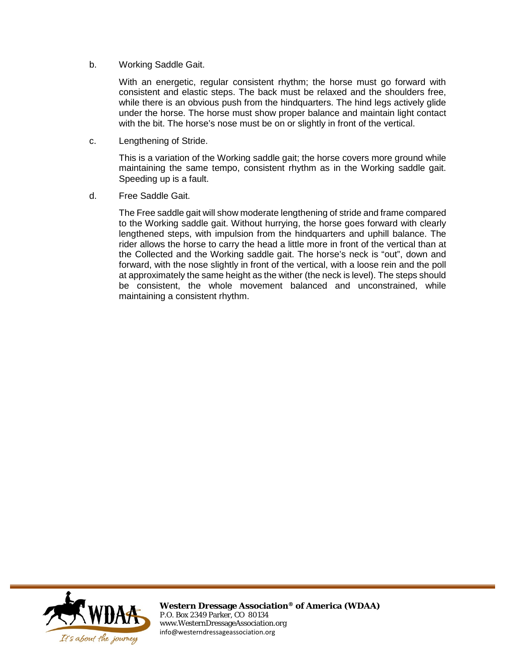b. Working Saddle Gait.

With an energetic, regular consistent rhythm; the horse must go forward with consistent and elastic steps. The back must be relaxed and the shoulders free, while there is an obvious push from the hindquarters. The hind legs actively glide under the horse. The horse must show proper balance and maintain light contact with the bit. The horse's nose must be on or slightly in front of the vertical.

c. Lengthening of Stride.

This is a variation of the Working saddle gait; the horse covers more ground while maintaining the same tempo, consistent rhythm as in the Working saddle gait. Speeding up is a fault.

d. Free Saddle Gait.

The Free saddle gait will show moderate lengthening of stride and frame compared to the Working saddle gait. Without hurrying, the horse goes forward with clearly lengthened steps, with impulsion from the hindquarters and uphill balance. The rider allows the horse to carry the head a little more in front of the vertical than at the Collected and the Working saddle gait. The horse's neck is "out", down and forward, with the nose slightly in front of the vertical, with a loose rein and the poll at approximately the same height as the wither (the neck is level). The steps should be consistent, the whole movement balanced and unconstrained, while maintaining a consistent rhythm.

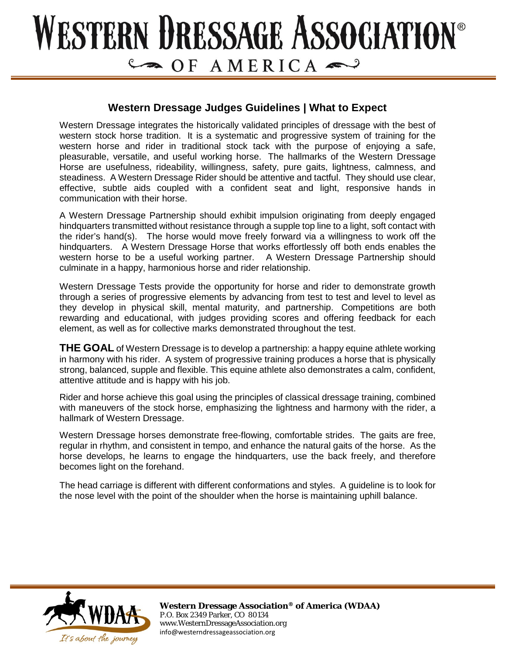# **ESTERN DRESSAGE ASSOCIATION®**  $C \rightarrow O$   $F$   $A$   $M$   $E$   $R$   $IC$   $A \rightarrow Q$

#### **Western Dressage Judges Guidelines | What to Expect**

Western Dressage integrates the historically validated principles of dressage with the best of western stock horse tradition. It is a systematic and progressive system of training for the western horse and rider in traditional stock tack with the purpose of enjoying a safe, pleasurable, versatile, and useful working horse. The hallmarks of the Western Dressage Horse are usefulness, rideability, willingness, safety, pure gaits, lightness, calmness, and steadiness. A Western Dressage Rider should be attentive and tactful. They should use clear, effective, subtle aids coupled with a confident seat and light, responsive hands in communication with their horse.

A Western Dressage Partnership should exhibit impulsion originating from deeply engaged hindquarters transmitted without resistance through a supple top line to a light, soft contact with the rider's hand(s). The horse would move freely forward via a willingness to work off the hindquarters. A Western Dressage Horse that works effortlessly off both ends enables the western horse to be a useful working partner. A Western Dressage Partnership should culminate in a happy, harmonious horse and rider relationship.

Western Dressage Tests provide the opportunity for horse and rider to demonstrate growth through a series of progressive elements by advancing from test to test and level to level as they develop in physical skill, mental maturity, and partnership. Competitions are both rewarding and educational, with judges providing scores and offering feedback for each element, as well as for collective marks demonstrated throughout the test.

**THE GOAL** of Western Dressage is to develop a partnership: a happy equine athlete working in harmony with his rider. A system of progressive training produces a horse that is physically strong, balanced, supple and flexible. This equine athlete also demonstrates a calm, confident, attentive attitude and is happy with his job.

Rider and horse achieve this goal using the principles of classical dressage training, combined with maneuvers of the stock horse, emphasizing the lightness and harmony with the rider, a hallmark of Western Dressage.

Western Dressage horses demonstrate free-flowing, comfortable strides. The gaits are free, regular in rhythm, and consistent in tempo, and enhance the natural gaits of the horse. As the horse develops, he learns to engage the hindquarters, use the back freely, and therefore becomes light on the forehand.

The head carriage is different with different conformations and styles. A guideline is to look for the nose level with the point of the shoulder when the horse is maintaining uphill balance.

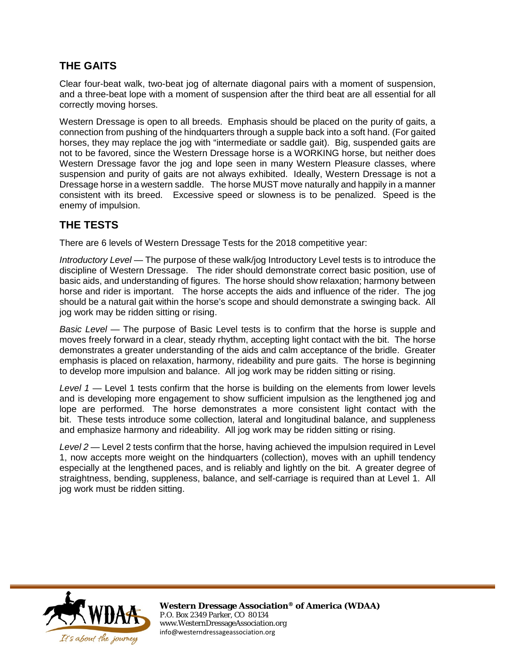## **THE GAITS**

Clear four-beat walk, two-beat jog of alternate diagonal pairs with a moment of suspension, and a three-beat lope with a moment of suspension after the third beat are all essential for all correctly moving horses.

Western Dressage is open to all breeds. Emphasis should be placed on the purity of gaits, a connection from pushing of the hindquarters through a supple back into a soft hand. (For gaited horses, they may replace the jog with "intermediate or saddle gait). Big, suspended gaits are not to be favored, since the Western Dressage horse is a WORKING horse, but neither does Western Dressage favor the jog and lope seen in many Western Pleasure classes, where suspension and purity of gaits are not always exhibited. Ideally, Western Dressage is not a Dressage horse in a western saddle. The horse MUST move naturally and happily in a manner consistent with its breed. Excessive speed or slowness is to be penalized. Speed is the enemy of impulsion.

## **THE TESTS**

There are 6 levels of Western Dressage Tests for the 2018 competitive year:

*Introductory Level* — The purpose of these walk/jog Introductory Level tests is to introduce the discipline of Western Dressage. The rider should demonstrate correct basic position, use of basic aids, and understanding of figures. The horse should show relaxation; harmony between horse and rider is important. The horse accepts the aids and influence of the rider. The jog should be a natural gait within the horse's scope and should demonstrate a swinging back. All jog work may be ridden sitting or rising.

*Basic Level* — The purpose of Basic Level tests is to confirm that the horse is supple and moves freely forward in a clear, steady rhythm, accepting light contact with the bit. The horse demonstrates a greater understanding of the aids and calm acceptance of the bridle. Greater emphasis is placed on relaxation, harmony, rideability and pure gaits. The horse is beginning to develop more impulsion and balance. All jog work may be ridden sitting or rising.

*Level 1* — Level 1 tests confirm that the horse is building on the elements from lower levels and is developing more engagement to show sufficient impulsion as the lengthened jog and lope are performed. The horse demonstrates a more consistent light contact with the bit. These tests introduce some collection, lateral and longitudinal balance, and suppleness and emphasize harmony and rideability. All jog work may be ridden sitting or rising.

*Level 2* — Level 2 tests confirm that the horse, having achieved the impulsion required in Level 1, now accepts more weight on the hindquarters (collection), moves with an uphill tendency especially at the lengthened paces, and is reliably and lightly on the bit. A greater degree of straightness, bending, suppleness, balance, and self-carriage is required than at Level 1. All jog work must be ridden sitting.